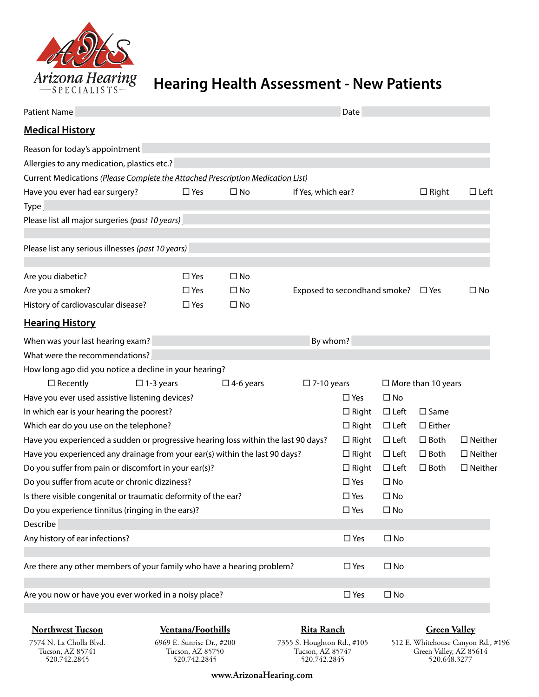

## **Hearing Health Assessment - New Patients**

| <b>Patient Name</b>                                                                                                                  |               |                     |                              |                               | Date                       |                                    |                                  |  |  |
|--------------------------------------------------------------------------------------------------------------------------------------|---------------|---------------------|------------------------------|-------------------------------|----------------------------|------------------------------------|----------------------------------|--|--|
| <b>Medical History</b>                                                                                                               |               |                     |                              |                               |                            |                                    |                                  |  |  |
| Reason for today's appointment<br>Allergies to any medication, plastics etc.?                                                        |               |                     |                              |                               |                            |                                    |                                  |  |  |
| Current Medications (Please Complete the Attached Prescription Medication List)                                                      |               |                     |                              |                               |                            |                                    |                                  |  |  |
| Have you ever had ear surgery?                                                                                                       | $\Box$ Yes    | $\square$ No        | If Yes, which ear?           |                               |                            | $\Box$ Right                       | $\Box$ Left                      |  |  |
| <b>Type</b>                                                                                                                          |               |                     |                              |                               |                            |                                    |                                  |  |  |
| Please list all major surgeries (past 10 years)                                                                                      |               |                     |                              |                               |                            |                                    |                                  |  |  |
| Please list any serious illnesses (past 10 years)                                                                                    |               |                     |                              |                               |                            |                                    |                                  |  |  |
|                                                                                                                                      |               |                     |                              |                               |                            |                                    |                                  |  |  |
| Are you diabetic?                                                                                                                    | $\square$ Yes | $\square$ No        |                              |                               |                            |                                    |                                  |  |  |
| Are you a smoker?                                                                                                                    | $\Box$ Yes    | $\square$ No        | Exposed to secondhand smoke? |                               |                            | $\square$ Yes                      | $\square$ No                     |  |  |
| History of cardiovascular disease?                                                                                                   | $\square$ Yes | $\square$ No        |                              |                               |                            |                                    |                                  |  |  |
| <b>Hearing History</b>                                                                                                               |               |                     |                              |                               |                            |                                    |                                  |  |  |
| When was your last hearing exam?                                                                                                     | By whom?      |                     |                              |                               |                            |                                    |                                  |  |  |
| What were the recommendations?                                                                                                       |               |                     |                              |                               |                            |                                    |                                  |  |  |
| How long ago did you notice a decline in your hearing?                                                                               |               |                     |                              |                               |                            |                                    |                                  |  |  |
| $\Box$ Recently<br>$\Box$ 1-3 years                                                                                                  |               | $\square$ 4-6 years | $\square$ 7-10 years         |                               |                            | $\Box$ More than 10 years          |                                  |  |  |
| Have you ever used assistive listening devices?                                                                                      |               |                     |                              | $\Box$ Yes                    | $\square$ No               |                                    |                                  |  |  |
| In which ear is your hearing the poorest?                                                                                            |               |                     |                              | $\Box$ Right<br>$\Box$ Right  | $\Box$ Left                | $\square$ Same                     |                                  |  |  |
| Which ear do you use on the telephone?                                                                                               |               |                     |                              |                               | $\Box$ Left<br>$\Box$ Left | $\square$ Either<br>$\square$ Both |                                  |  |  |
| Have you experienced a sudden or progressive hearing loss within the last 90 days?                                                   |               |                     |                              |                               | $\Box$ Left                | $\Box$ Both                        | $\Box$ Neither<br>$\Box$ Neither |  |  |
| Have you experienced any drainage from your ear(s) within the last 90 days?<br>Do you suffer from pain or discomfort in your ear(s)? |               |                     |                              |                               | $\Box$ Left                | $\square$ Both                     | $\Box$ Neither                   |  |  |
| Do you suffer from acute or chronic dizziness?                                                                                       |               |                     |                              | $\Box$ Right<br>$\square$ Yes | $\square$ No               |                                    |                                  |  |  |
| Is there visible congenital or traumatic deformity of the ear?                                                                       |               |                     |                              | $\square$ Yes                 | $\square$ No               |                                    |                                  |  |  |
| Do you experience tinnitus (ringing in the ears)?                                                                                    |               |                     |                              | $\square$ Yes                 | $\square$ No               |                                    |                                  |  |  |
| Describe                                                                                                                             |               |                     |                              |                               |                            |                                    |                                  |  |  |
| Any history of ear infections?                                                                                                       |               |                     |                              | $\square$ Yes                 | $\square$ No               |                                    |                                  |  |  |
|                                                                                                                                      |               |                     |                              |                               |                            |                                    |                                  |  |  |
| Are there any other members of your family who have a hearing problem?                                                               |               |                     |                              | $\square$ Yes                 | $\square$ No               |                                    |                                  |  |  |
| Are you now or have you ever worked in a noisy place?                                                                                |               |                     |                              | $\square$ Yes                 | $\square$ No               |                                    |                                  |  |  |
|                                                                                                                                      |               |                     |                              |                               |                            |                                    |                                  |  |  |

**Northwest Tucson**

**Ventana/Foothills**

**Rita Ranch**

## **Green Valley**

7574 N. La Cholla Blvd. Tucson, AZ 85741 520.742.2845

6969 E. Sunrise Dr., #200 Tucson, AZ 85750 520.742.2845

7355 S. Houghton Rd., #105 Tucson, AZ 85747 520.742.2845

512 E. Whitehouse Canyon Rd., #196 Green Valley, AZ 85614 520.648.3277

**www.ArizonaHearing.com**